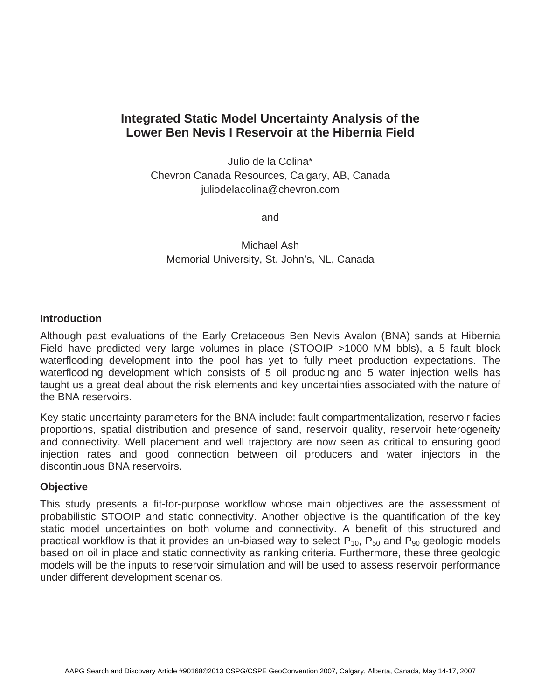# **Integrated Static Model Uncertainty Analysis of the Lower Ben Nevis I Reservoir at the Hibernia Field**

Julio de la Colina\* Chevron Canada Resources, Calgary, AB, Canada juliodelacolina@chevron.com

and

Michael Ash Memorial University, St. John's, NL, Canada

## **Introduction**

Although past evaluations of the Early Cretaceous Ben Nevis Avalon (BNA) sands at Hibernia Field have predicted very large volumes in place (STOOIP >1000 MM bbls), a 5 fault block waterflooding development into the pool has yet to fully meet production expectations. The waterflooding development which consists of 5 oil producing and 5 water injection wells has taught us a great deal about the risk elements and key uncertainties associated with the nature of the BNA reservoirs.

Key static uncertainty parameters for the BNA include: fault compartmentalization, reservoir facies proportions, spatial distribution and presence of sand, reservoir quality, reservoir heterogeneity and connectivity. Well placement and well trajectory are now seen as critical to ensuring good injection rates and good connection between oil producers and water injectors in the discontinuous BNA reservoirs.

## **Objective**

This study presents a fit-for-purpose workflow whose main objectives are the assessment of probabilistic STOOIP and static connectivity. Another objective is the quantification of the key static model uncertainties on both volume and connectivity. A benefit of this structured and practical workflow is that it provides an un-biased way to select  $P_{10}$ ,  $P_{50}$  and  $P_{90}$  geologic models based on oil in place and static connectivity as ranking criteria. Furthermore, these three geologic models will be the inputs to reservoir simulation and will be used to assess reservoir performance under different development scenarios.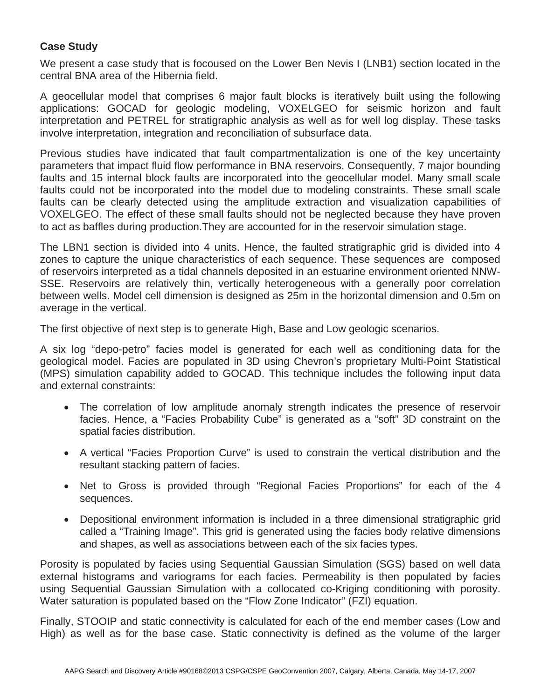## **Case Study**

We present a case study that is focoused on the Lower Ben Nevis I (LNB1) section located in the central BNA area of the Hibernia field.

A geocellular model that comprises 6 major fault blocks is iteratively built using the following applications: GOCAD for geologic modeling, VOXELGEO for seismic horizon and fault interpretation and PETREL for stratigraphic analysis as well as for well log display. These tasks involve interpretation, integration and reconciliation of subsurface data.

Previous studies have indicated that fault compartmentalization is one of the key uncertainty parameters that impact fluid flow performance in BNA reservoirs. Consequently, 7 major bounding faults and 15 internal block faults are incorporated into the geocellular model. Many small scale faults could not be incorporated into the model due to modeling constraints. These small scale faults can be clearly detected using the amplitude extraction and visualization capabilities of VOXELGEO. The effect of these small faults should not be neglected because they have proven to act as baffles during production.They are accounted for in the reservoir simulation stage.

The LBN1 section is divided into 4 units. Hence, the faulted stratigraphic grid is divided into 4 zones to capture the unique characteristics of each sequence. These sequences are composed of reservoirs interpreted as a tidal channels deposited in an estuarine environment oriented NNW-SSE. Reservoirs are relatively thin, vertically heterogeneous with a generally poor correlation between wells. Model cell dimension is designed as 25m in the horizontal dimension and 0.5m on average in the vertical.

The first objective of next step is to generate High, Base and Low geologic scenarios.

A six log "depo-petro" facies model is generated for each well as conditioning data for the geological model. Facies are populated in 3D using Chevron's proprietary Multi-Point Statistical (MPS) simulation capability added to GOCAD. This technique includes the following input data and external constraints:

- The correlation of low amplitude anomaly strength indicates the presence of reservoir facies. Hence, a "Facies Probability Cube" is generated as a "soft" 3D constraint on the spatial facies distribution.
- A vertical "Facies Proportion Curve" is used to constrain the vertical distribution and the resultant stacking pattern of facies.
- Net to Gross is provided through "Regional Facies Proportions" for each of the 4 sequences.
- Depositional environment information is included in a three dimensional stratigraphic grid called a "Training Image". This grid is generated using the facies body relative dimensions and shapes, as well as associations between each of the six facies types.

Porosity is populated by facies using Sequential Gaussian Simulation (SGS) based on well data external histograms and variograms for each facies. Permeability is then populated by facies using Sequential Gaussian Simulation with a collocated co-Kriging conditioning with porosity. Water saturation is populated based on the "Flow Zone Indicator" (FZI) equation.

Finally, STOOIP and static connectivity is calculated for each of the end member cases (Low and High) as well as for the base case. Static connectivity is defined as the volume of the larger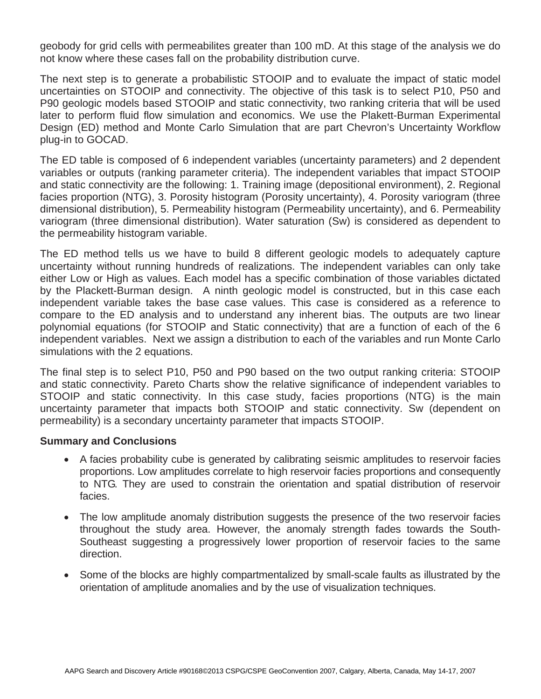geobody for grid cells with permeabilites greater than 100 mD. At this stage of the analysis we do not know where these cases fall on the probability distribution curve.

The next step is to generate a probabilistic STOOIP and to evaluate the impact of static model uncertainties on STOOIP and connectivity. The objective of this task is to select P10, P50 and P90 geologic models based STOOIP and static connectivity, two ranking criteria that will be used later to perform fluid flow simulation and economics. We use the Plakett-Burman Experimental Design (ED) method and Monte Carlo Simulation that are part Chevron's Uncertainty Workflow plug-in to GOCAD.

The ED table is composed of 6 independent variables (uncertainty parameters) and 2 dependent variables or outputs (ranking parameter criteria). The independent variables that impact STOOIP and static connectivity are the following: 1. Training image (depositional environment), 2. Regional facies proportion (NTG), 3. Porosity histogram (Porosity uncertainty), 4. Porosity variogram (three dimensional distribution), 5. Permeability histogram (Permeability uncertainty), and 6. Permeability variogram (three dimensional distribution). Water saturation (Sw) is considered as dependent to the permeability histogram variable.

The ED method tells us we have to build 8 different geologic models to adequately capture uncertainty without running hundreds of realizations. The independent variables can only take either Low or High as values. Each model has a specific combination of those variables dictated by the Plackett-Burman design. A ninth geologic model is constructed, but in this case each independent variable takes the base case values. This case is considered as a reference to compare to the ED analysis and to understand any inherent bias. The outputs are two linear polynomial equations (for STOOIP and Static connectivity) that are a function of each of the 6 independent variables. Next we assign a distribution to each of the variables and run Monte Carlo simulations with the 2 equations.

The final step is to select P10, P50 and P90 based on the two output ranking criteria: STOOIP and static connectivity. Pareto Charts show the relative significance of independent variables to STOOIP and static connectivity. In this case study, facies proportions (NTG) is the main uncertainty parameter that impacts both STOOIP and static connectivity. Sw (dependent on permeability) is a secondary uncertainty parameter that impacts STOOIP.

## **Summary and Conclusions**

- A facies probability cube is generated by calibrating seismic amplitudes to reservoir facies proportions. Low amplitudes correlate to high reservoir facies proportions and consequently to NTG. They are used to constrain the orientation and spatial distribution of reservoir facies.
- The low amplitude anomaly distribution suggests the presence of the two reservoir facies throughout the study area. However, the anomaly strength fades towards the South-Southeast suggesting a progressively lower proportion of reservoir facies to the same direction.
- Some of the blocks are highly compartmentalized by small-scale faults as illustrated by the orientation of amplitude anomalies and by the use of visualization techniques.